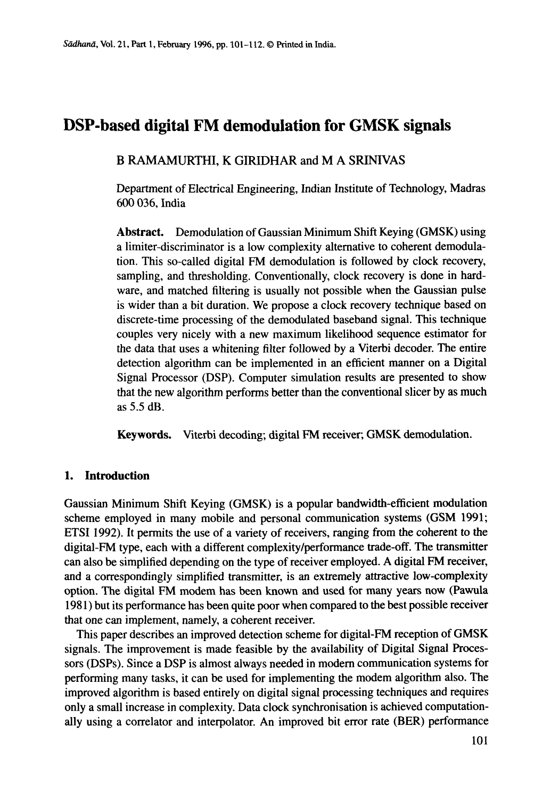# **DSP-based digital FM demodulation for GMSK signals**

B RAMAMURTHI, K GIRIDHAR and M A SRINIVAS

Department of Electrical Engineering, Indian Institute of Technology, Madras 600 036, India

**Abstract.** Demodulation of Gaussian Minimum Shift Keying (GMSK) using a limiter-discriminator is a low complexity alternative to coherent demodulation. This so-called digital FM demodulation is followed by clock recovery, sampling, and thresholding. Conventionally, clock recovery is done in hardware, and matched filtering is usually not possible when the Gaussian pulse is wider than a bit duration. We propose a clock recovery technique based on discrete-time processing of the demodulated baseband signal. This technique couples very nicely with a new maximum likelihood sequence estimator for the data that uses a whitening filter followed by a Viterbi decoder. The entire detection algorithm can be implemented in an efficient manner on a Digital Signal Processor (DSP). Computer simulation results are presented to show that the new algorithm performs better than the conventional slicer by as much as 5.5 dB.

**Keywords.** Viterbi decoding; digital FM receiver; GMSK demodulation.

# **1. Introduction**

Gaussian Minimum Shift Keying (GMSK) is a popular bandwidth-efficient modulation scheme employed in many mobile and personal communication systems (GSM 1991; ETSI 1992). It permits the use of a variety of receivers, ranging from the coherent to the digital-FM type, each with a different complexity/performance trade-off. The transmitter can also be simplified depending on the type of receiver employed. A digital FM receiver, and a correspondingly simplified transmitter, is an extremely attractive low-complexity option. The digital FM modem has been known and used for many years now (Pawula 1981) but its performance has been quite poor when compared to the best possible receiver that one can implement, namely, a coherent receiver.

This paper describes an improved detection scheme for digital-FM reception of GMSK signals. The improvement is made feasible by the availability of Digital Signal Processors (DSPs). Since a DSP is almost always needed in modem communication systems for performing many tasks, it can be used for implementing the modem algorithm also. The improved algorithm is based entirely on digital signal processing techniques and requires only a small increase in complexity. Data clock synchronisation is achieved computationally using a correlator and interpolator. An improved bit error rate (BER) performance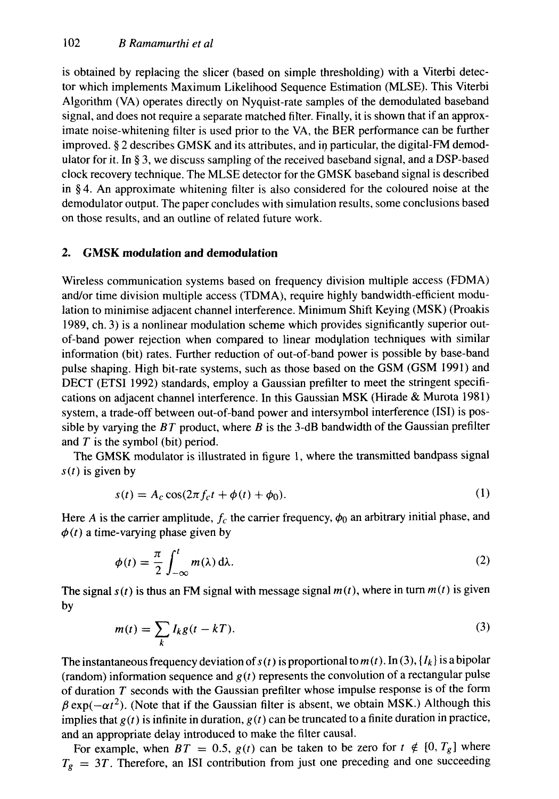is obtained by replacing the slicer (based on simple thresholding) with a Viterbi detector which implements Maximum Likelihood Sequence Estimation (MLSE). This Viterbi Algorithm (VA) operates directly on Nyquist-rate samples of the demodulated baseband signal, and does not require a separate matched filter. Finally, it is shown that if an approximate noise-whitening filter is used prior to the VA, the BER performance can be further improved.  $\S 2$  describes GMSK and its attributes, and in particular, the digital-FM demodulator for it. In § 3, we discuss sampling of the received baseband signal, and a DSP-based clock recovery technique. The MLSE detector for the GMSK baseband signal is described in § 4. An approximate whitening filter is also considered for the coloured noise at the demodulator output. The paper concludes with simulation results, some conclusions based on those results, and an outline of related future work.

# **2. GMSK modulation and demodulation**

Wireless communication systems based on frequency division multiple access (FDMA) and/or time division multiple access (TDMA), require highly bandwidth-efficient modulation to minimise adjacent channel interference. Minimum Shift Keying (MSK) (Proakis 1989, ch. 3) is a nonlinear modulation scheme which provides significantly superior outof-band power rejection when compared to linear modylation techniques with similar information (bit) rates. Further reduction of out-of-band power is possible by base-band pulse shaping. High bit-rate systems, such as those based on the GSM (GSM 1991) and DECT (ETSI 1992) standards, employ a Gaussian prefilter to meet the stringent specifications on adjacent channel interference. In this Gaussian MSK (Hirade & Murota 1981) system, a trade-off between out-of-band power and intersymbol interference (ISI) is possible by varying the *BT* product, where B is the 3-dB bandwidth of the Gaussian prefilter and  $T$  is the symbol (bit) period.

The GMSK modulator is illustrated in figure 1, where the transmitted bandpass signal *s(t)* is given by

$$
s(t) = A_c \cos(2\pi f_c t + \phi(t) + \phi_0). \tag{1}
$$

Here A is the carrier amplitude,  $f_c$  the carrier frequency,  $\phi_0$  an arbitrary initial phase, and  $\phi(t)$  a time-varying phase given by

$$
\phi(t) = \frac{\pi}{2} \int_{-\infty}^{t} m(\lambda) d\lambda.
$$
 (2)

The signal  $s(t)$  is thus an FM signal with message signal  $m(t)$ , where in turn  $m(t)$  is given by

$$
m(t) = \sum_{k} I_k g(t - kT). \tag{3}
$$

The instantaneous frequency deviation of  $s(t)$  is proportional to  $m(t)$ . In (3),  $\{I_k\}$  is a bipolar (random) information sequence and  $g(t)$  represents the convolution of a rectangular pulse of duration  $T$  seconds with the Gaussian prefilter whose impulse response is of the form  $\beta$  exp( $-\alpha t^2$ ). (Note that if the Gaussian filter is absent, we obtain MSK.) Although this implies that  $g(t)$  is infinite in duration,  $g(t)$  can be truncated to a finite duration in practice, and an appropriate delay introduced to make the filter causal.

For example, when  $BT = 0.5$ ,  $g(t)$  can be taken to be zero for  $t \notin [0, T_g]$  where  $T_g$  = 3T. Therefore, an ISI contribution from just one preceding and one succeeding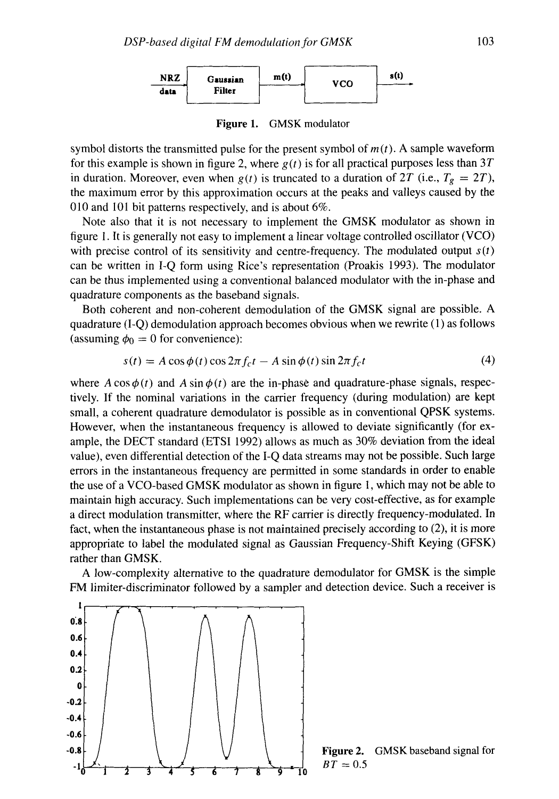

Figure 1. GMSK modulator

symbol distorts the transmitted pulse for the present symbol of  $m(t)$ . A sample waveform for this example is shown in figure 2, where  $g(t)$  is for all practical purposes less than 3T in duration. Moreover, even when  $g(t)$  is truncated to a duration of 2T (i.e.,  $T_g = 2T$ ), the maximum error by this approximation occurs at the peaks and valleys caused by the 010 and I01 bit patterns respectively, and is about 6%.

Note also that it is not necessary to implement the GMSK modulator as shown in figure 1. It is generally not easy to implement a linear voltage controlled oscillator (VCO) with precise control of its sensitivity and centre-frequency. The modulated output  $s(t)$ can be written in I-Q form using Rice's representation (Proakis 1993). The modulator can be thus implemented using a conventional balanced modulator with the in-phase and quadrature components as the baseband signals.

Both coherent and non-coherent demodulation of the GMSK signal are possible. A quadrature (I-Q) demodulation approach becomes obvious when we rewrite (1) as follows (assuming  $\phi_0 = 0$  for convenience):

$$
s(t) = A\cos\phi(t)\cos 2\pi f_c t - A\sin\phi(t)\sin 2\pi f_c t
$$
 (4)

where  $A \cos \phi(t)$  and  $A \sin \phi(t)$  are the in-phase and quadrature-phase signals, respectively. If the nominal variations in the carrier frequency (during modulation) are kept small, a coherent quadrature demodulator is possible as in conventional QPSK systems. However, when the instantaneous frequency is allowed to deviate significantly (for example, the DECT standard (ETSI 1992) allows as much as 30% deviation from the ideal value), even differential detection of the I-Q data streams may not be possible. Such large errors in the instantaneous frequency are permitted in some standards in order to enable the use of a VCO-based GMSK modulator as shown in figure 1, which may not be able to maintain high accuracy. Such implementations can be very cost-effective, as for example a direct modulation transmitter, where the RF carrier is directly frequency-modulated. In fact, when the instantaneous phase is not maintained precisely according to (2), it is more appropriate to label the modulated signal as Gaussian Frequency-Shift Keying (GFSK) rather than GMSK.

A low-complexity alternative to the quadrature demodulator for GMSK is the simple FM limiter-discriminator followed by a sampler and detection device. Such a receiver is



**Figure 2.**   $BT = 0.5$ GMSK baseband signal for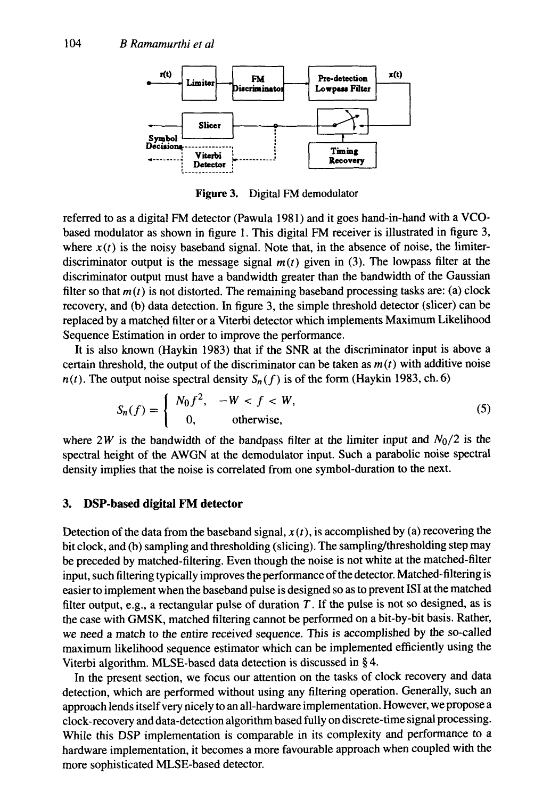

Figure 3. Digital FM demodulator

referred to as a digital FM detector (Pawula 1981) and it goes hand-in-hand with a VCObased modulator as shown in figure 1. This digital FM receiver is illustrated in figure 3, where  $x(t)$  is the noisy baseband signal. Note that, in the absence of noise, the limiterdiscriminator output is the message signal  $m(t)$  given in (3). The lowpass filter at the discriminator output must have a bandwidth greater than the bandwidth of the Gaussian filter so that  $m(t)$  is not distorted. The remaining baseband processing tasks are: (a) clock recovery, and (b) data detection. In figure 3, the simple threshold detector (slicer) can be replaced by a matched filter or a Viterbi detector which implements Maximum Likelihood Sequence Estimation in order to improve the performance.

It is also known (Haykin 1983) that if the SNR at the discriminator input is above a certain threshold, the output of the discriminator can be taken as  $m(t)$  with additive noise  $n(t)$ . The output noise spectral density  $S_n(f)$  is of the form (Haykin 1983, ch. 6)

$$
S_n(f) = \begin{cases} N_0 f^2, & -W < f < W, \\ 0, & \text{otherwise,} \end{cases} \tag{5}
$$

where 2W is the bandwidth of the bandpass filter at the limiter input and  $N_0/2$  is the spectral height of the AWGN at the demodulator input. Such a parabolic noise spectral density implies that the noise is correlated from one symbol-duration to the next.

#### **3. DSP-based digital FM detector**

Detection of the data from the baseband signal,  $x(t)$ , is accomplished by (a) recovering the bit clock, and (b) sampling and thresholding (slicing). The sampling/thresholding step may be preceded by matched-filtering. Even though the noise is not white at the matched-filter input, such filtering typically improves the performance of the detector. Matched-filtering is easier to implement when the baseband pulse is designed so as to prevent ISI at the matched filter output, e.g., a rectangular pulse of duration  $T$ . If the pulse is not so designed, as is the case with GMSK, matched filtering cannot be performed on a bit-by-bit basis. Rather, we need a match to the entire received sequence. This is accomplished by the so-called maximum likelihood sequence estimator which can be implemented efficiently using the Viterbi algorithm. MLSE-based data detection is discussed in § 4.

In the present section, we focus our attention on the tasks of clock recovery and data detection, which are performed without using any filtering operation. Generally, such an approach lends itself very nicely to an all-hardware implementation. However, we propose a clock-recovery and data-detection algorithm based fully on discrete-time signal processing. While this DSP implementation is comparable in its complexity and performance to a hardware implementation, it becomes a more favourable approach when coupled with the more sophisticated MLSE-based detector.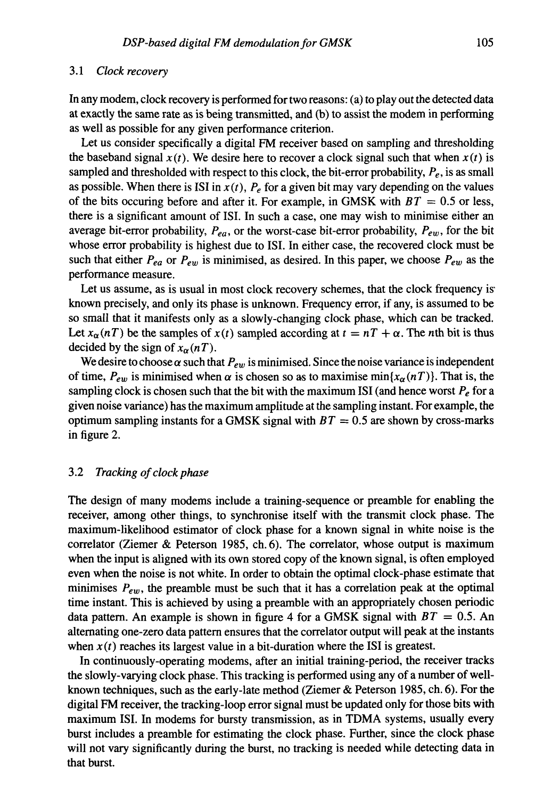#### *3.1 Clock recovery*

In any modem, clock recovery is performed for two reasons: (a) to play out the detected data at exactly the same rate as is being transmitted, and (b) to assist the modem in performing as well as possible for any given performance criterion.

Let us consider specifically a digital FM receiver based on sampling and thresholding the baseband signal  $x(t)$ . We desire here to recover a clock signal such that when  $x(t)$  is sampled and thresholded with respect to this clock, the bit-error probability, *Pe,* is as small as possible. When there is ISI in  $x(t)$ ,  $P_e$  for a given bit may vary depending on the values of the bits occuring before and after it. For example, in GMSK with  $BT = 0.5$  or less, there is a significant amount of ISI. In such a case, one may wish to minimise either an average bit-error probability, *Pea,* or the worst-case bit-error probability, *Pew,* for the bit whose error probability is highest due to ISI. In either case, the recovered clock must be such that either *Pea* or *Pew* is minimised, as desired. In this paper, we choose *Pew* as the performance measure.

Let us assume, as is usual in most clock recovery schemes, that the clock frequency is" known precisely, and only its phase is unknown. Frequency error, if any, is assumed to be so small that it manifests only as a slowly-changing clock phase, which can be tracked. Let  $x_{\alpha}(nT)$  be the samples of  $x(t)$  sampled according at  $t = nT + \alpha$ . The *n*th bit is thus decided by the sign of  $x_\alpha(nT)$ .

We desire to choose  $\alpha$  such that  $P_{ew}$  is minimised. Since the noise variance is independent of time,  $P_{ew}$  is minimised when  $\alpha$  is chosen so as to maximise min{ $x_{\alpha}(nT)$ }. That is, the sampling clock is chosen such that the bit with the maximum ISI (and hence worst  $P_e$  for a given noise variance) has the maximum amplitude at the sampling instant. For example, the optimum sampling instants for a GMSK signal with  $BT = 0.5$  are shown by cross-marks in figure 2.

## 3.2 *Tracking of clock phase*

The design of many modems include a training-sequence or preamble for enabling the receiver, among other things, to synchronise itself with the transmit clock phase. The maximum-likelihood estimator of clock phase for a known signal in white noise is the correlator (Ziemer & Peterson 1985, ch. 6). The correlator, whose output is maximum when the input is aligned with its own stored copy of the known signal, is often employed even when the noise is not white. In order to obtain the optimal clock-phase estimate that minimises  $P_{ew}$ , the preamble must be such that it has a correlation peak at the optimal time instant. This is achieved by using a preamble with an appropriately chosen periodic data pattern. An example is shown in figure 4 for a GMSK signal with  $BT = 0.5$ . An alternating one-zero data pattern ensures that the correlator output will peak at the instants when  $x(t)$  reaches its largest value in a bit-duration where the ISI is greatest.

In continuously-operating modems, after an initial training-period, the receiver tracks the slowly-varying clock phase. This tracking is performed using any of a number of wellknown techniques, such as the early-late method (Ziemer & Peterson 1985, ch. 6). For the digital FM receiver, the tracking-loop error signal must be updated only for those bits with maximum ISI. In modems for bursty transmission, as in TDMA systems, usually every burst includes a preamble for estimating the clock phase. Further, since the clock phase will not vary significantly during the burst, no tracking is needed while detecting data in that burst.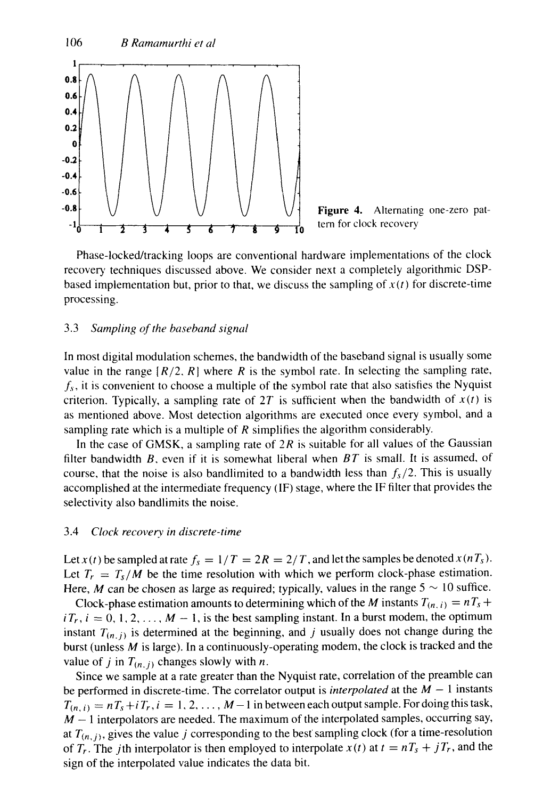

**Figure** 4. Alternating one-zero pattern for clock recovery

Phase-locked/tracking loops are conventional hardware implementations of the clock recovery techniques discussed above. We consider next a completely algorithmic DSPbased implementation but, prior to that, we discuss the sampling of  $x(t)$  for discrete-time processing.

## 3.3 *Sampling of the baseband signal*

In most digital modulation schemes, the bandwidth of the baseband signal is usually some value in the range  $[R/2, R]$  where R is the symbol rate. In selecting the sampling rate,  $f_s$ , it is convenient to choose a multiple of the symbol rate that also satisfies the Nyquist criterion. Typically, a sampling rate of 2T is sufficient when the bandwidth of  $x(t)$  is as mentioned above. Most detection algorithms are executed once every symbol, and a sampling rate which is a multiple of  $R$  simplifies the algorithm considerably.

In the case of GMSK, a sampling rate of  $2R$  is suitable for all values of the Gaussian filter bandwidth B, even if it is somewhat liberal when *BT* is small. It is assumed, of course, that the noise is also bandlimited to a bandwidth less than  $f_s/2$ . This is usually accomplished at the intermediate frequency (IF) stage, where the IF filter that provides the selectivity also bandlimits the noise.

#### 3.4 *Clock recovery in discrete-time*

Let  $x(t)$  be sampled at rate  $f_s = 1/T = 2R = 2/T$ , and let the samples be denoted  $x(nT_s)$ . Let  $T_r = T_s/M$  be the time resolution with which we perform clock-phase estimation. Here, M can be chosen as large as required; typically, values in the range  $5 \sim 10$  suffice.

Clock-phase estimation amounts to determining which of the *M* instants  $T_{(n, i)} = nT_s +$  $i T_r$ ,  $i = 0, 1, 2, \ldots, M - 1$ , is the best sampling instant. In a burst modem, the optimum instant  $T(n,j)$  is determined at the beginning, and j usually does not change during the burst (unless  $M$  is large). In a continuously-operating modem, the clock is tracked and the value of j in  $T_{(n,j)}$  changes slowly with n.

Since we sample at a rate greater than the Nyquist rate, correlation of the preamble can be performed in discrete-time. The correlator output is *interpolated* at the  $M - 1$  instants  $T_{(n,i)} = nT_s + iT_r$ ,  $i = 1, 2, ..., M-1$  in between each output sample. For doing this task,  $M-1$  interpolators are needed. The maximum of the interpolated samples, occurring say, at  $T(n,j)$ , gives the value j corresponding to the best sampling clock (for a time-resolution of  $T_r$ . The *j*th interpolator is then employed to interpolate  $x(t)$  at  $t = nT_s + jT_r$ , and the sign of the interpolated value indicates the data bit.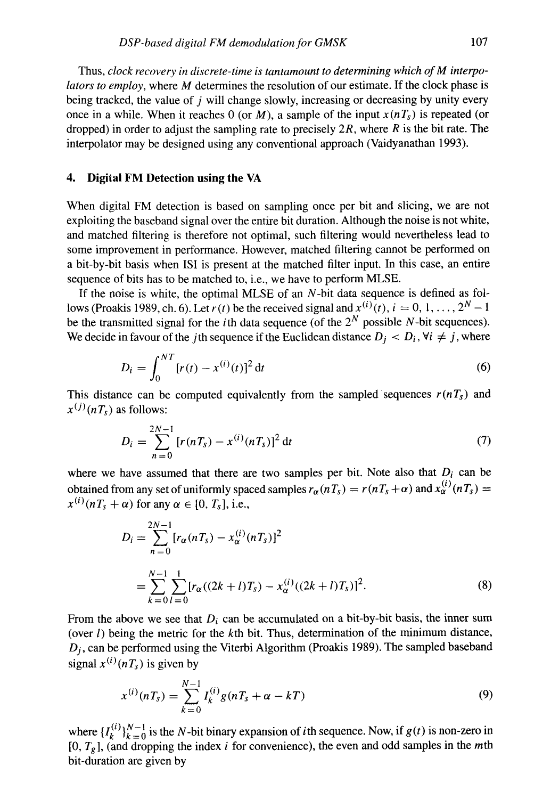Thus, *clock recovery in discrete-time is tantamount to determining which of M interpolators to employ,* where M determines the resolution of our estimate. If the clock phase is being tracked, the value of j will change slowly, increasing or decreasing by unity every once in a while. When it reaches 0 (or M), a sample of the input  $x(nT_s)$  is repeated (or dropped) in order to adjust the sampling rate to precisely  $2R$ , where R is the bit rate. The interpolator may be designed using any conventional approach (Vaidyanathan 1993).

## **4. Digital FM Detection using the VA**

When digital FM detection is based on sampling once per bit and slicing, we are not exploiting the baseband signal over the entire bit duration. Although the noise is not white, and matched filtering is therefore not optimal, such filtering would nevertheless lead to some improvement in performance. However, matched filtering cannot be performed on a bit-by-bit basis when ISI is present at the matched filter input. In this case, an entire sequence of bits has to be matched to, i.e., we have to perform MLSE.

If the noise is white, the optimal MLSE of an N-bit data sequence is defined as follows (Proakis 1989, ch. 6). Let  $r(t)$  be the received signal and  $x^{(i)}(t)$ ,  $i = 0, 1, ..., 2^N - 1$ be the transmitted signal for the *i*th data sequence (of the  $2^N$  possible N-bit sequences). We decide in favour of the *j*th sequence if the Euclidean distance  $D_i < D_i$ ,  $\forall i \neq j$ , where

$$
D_i = \int_0^{NT} [r(t) - x^{(i)}(t)]^2 dt
$$
 (6)

This distance can be computed equivalently from the sampled sequences  $r(nT<sub>s</sub>)$  and  $x^{(j)}(nT_s)$  as follows:

$$
D_i = \sum_{n=0}^{2N-1} \left[ r(nT_s) - x^{(i)}(nT_s) \right]^2 dt \tag{7}
$$

where we have assumed that there are two samples per bit. Note also that  $D_i$  can be obtained from any set of uniformly spaced samples  $r_{\alpha}(nT_s) = r(nT_s + \alpha)$  and  $x_{\alpha}^{(i)}(nT_s) =$  $x^{(i)}(nT_s + \alpha)$  for any  $\alpha \in [0, T_s]$ , i.e.,

$$
D_i = \sum_{n=0}^{2N-1} [r_\alpha(nT_s) - x_\alpha^{(i)}(nT_s)]^2
$$
  
= 
$$
\sum_{k=0}^{N-1} \sum_{l=0}^{1} [r_\alpha((2k+l)T_s) - x_\alpha^{(i)}((2k+l)T_s)]^2.
$$
 (8)

From the above we see that  $D_i$  can be accumulated on a bit-by-bit basis, the inner sum (over  $l$ ) being the metric for the  $k$ th bit. Thus, determination of the minimum distance,  $D_i$ , can be performed using the Viterbi Algorithm (Proakis 1989). The sampled baseband signal  $x^{(i)}(nT_s)$  is given by

$$
x^{(i)}(nT_s) = \sum_{k=0}^{N-1} I_k^{(i)} g(nT_s + \alpha - kT)
$$
\n(9)

where  $\{I_k^{(i)}\}_{k=0}^{N-1}$  is the N-bit binary expansion of *i*th sequence. Now, if  $g(t)$  is non-zero in  $[0, T_g]$ , (and dropping the index i for convenience), the even and odd samples in the *mth* bit-duration are given by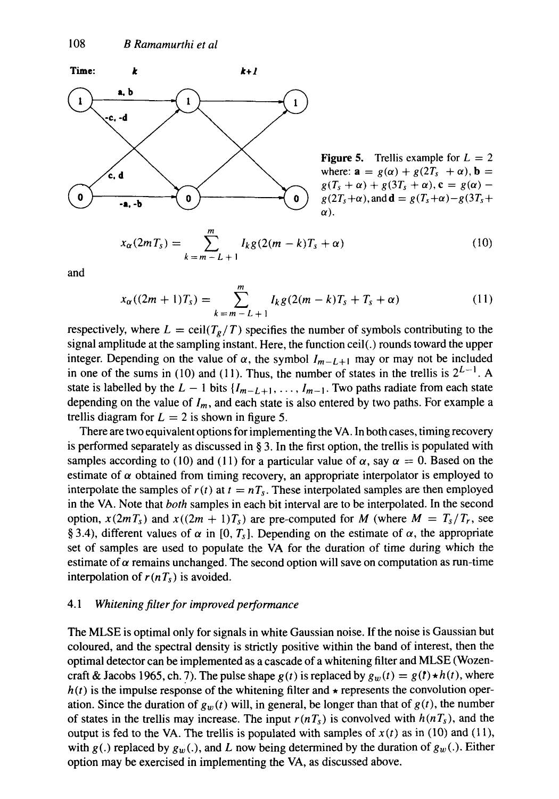

**Figure 5.** Trellis example for  $L = 2$ where:  $\mathbf{a} = g(\alpha) + g(2T_s + \alpha)$ ,  $\mathbf{b} =$  $g(T_s + \alpha) + g(3T_s + \alpha)$ ,  $c = g(\alpha)$  –  $g(2T_s+\alpha)$ , and  $\mathbf{d} = g(T_s+\alpha) - g(3T_s+\alpha)$ *or).* 

$$
x_{\alpha}(2mT_s) = \sum_{k=m-L+1}^{m} I_k g(2(m-k)T_s + \alpha)
$$
 (10)

and

$$
x_{\alpha}((2m+1)T_s) = \sum_{k=m-L+1}^{m} I_k g(2(m-k)T_s + T_s + \alpha)
$$
 (11)

respectively, where  $L = \text{ceil}(T_g/T)$  specifies the number of symbols contributing to the signal amplitude at the sampling instant. Here, the function ceil(.) rounds toward the upper integer. Depending on the value of  $\alpha$ , the symbol  $I_{m-L+1}$  may or may not be included in one of the sums in (10) and (11). Thus, the number of states in the trellis is  $2^{L-1}$ . A state is labelled by the  $L - 1$  bits  $\{I_{m-L+1}, \ldots, I_{m-1}\}$ . Two paths radiate from each state depending on the value of *Ira,* and each state is also entered by two paths. For example a trellis diagram for  $L = 2$  is shown in figure 5.

There are two equivalent options for implementing the VA. In both cases, timing recovery is performed separately as discussed in  $\S$  3. In the first option, the trellis is populated with samples according to (10) and (11) for a particular value of  $\alpha$ , say  $\alpha = 0$ . Based on the estimate of  $\alpha$  obtained from timing recovery, an appropriate interpolator is employed to interpolate the samples of  $r(t)$  at  $t = nT_s$ . These interpolated samples are then employed in the VA. Note that *both* samples in each bit interval are to be interpolated. In the second option,  $x(2mT_s)$  and  $x((2m + 1)T_s)$  are pre-computed for M (where  $M = T_s/T_r$ , see § 3.4), different values of  $\alpha$  in [0,  $T_s$ ]. Depending on the estimate of  $\alpha$ , the appropriate set of samples are used to populate the VA for the duration of time during which the estimate of  $\alpha$  remains unchanged. The second option will save on computation as run-time interpolation of  $r(nT<sub>s</sub>)$  is avoided.

# *4.1 Whitening filter for improved performance*

The MLSE is optimal only for signals in white Gaussian noise. If the noise is Gaussian but coloured, and the spectral density is strictly positive within the band of interest, then the optimal detector can be implemented as a cascade of a whitening filter and MLSE (Wozencraft & Jacobs 1965, ch. 7). The pulse shape  $g(t)$  is replaced by  $g_w(t) = g(t) \star h(t)$ , where  $h(t)$  is the impulse response of the whitening filter and  $\star$  represents the convolution operation. Since the duration of  $g_w(t)$  will, in general, be longer than that of  $g(t)$ , the number of states in the trellis may increase. The input  $r(nT<sub>s</sub>)$  is convolved with  $h(nT<sub>s</sub>)$ , and the output is fed to the VA. The trellis is populated with samples of  $x(t)$  as in (10) and (11), with  $g(.)$  replaced by  $g_w(.)$ , and L now being determined by the duration of  $g_w(.)$ . Either option may be exercised in implementing the VA, as discussed above.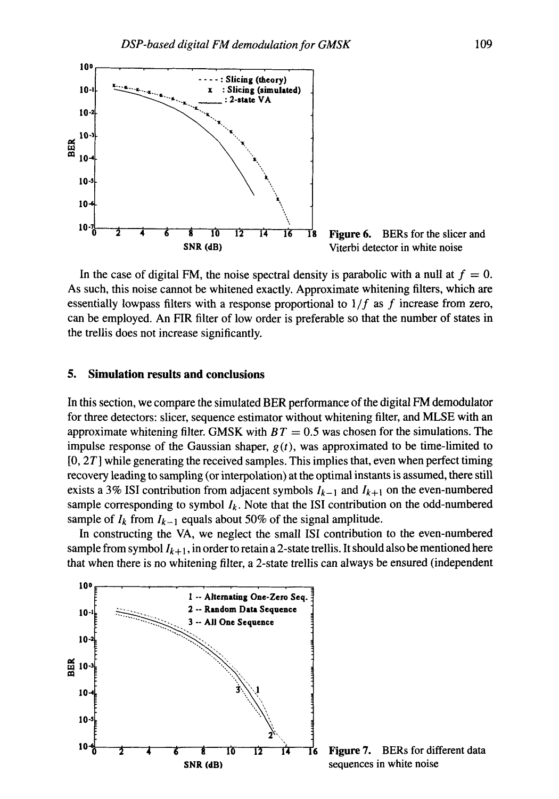

Figure 6. BERs for the slicer and Viterbi detector in white noise

In the case of digital FM, the noise spectral density is parabolic with a null at  $f = 0$ . As such, this noise cannot be whitened exactly. Approximate whitening filters, which are essentially lowpass filters with a response proportional to  $1/f$  as f increase from zero, can be employed. An FIR filter of low order is preferable so that the number of states in the trellis does not increase significantly.

#### **5. Simulation results and conclusions**

In this section, we compare the simulated BER performance of the digital FM demodulator for three detectors: slicer, sequence estimator without whitening filter, and MLSE with an approximate whitening filter. GMSK with  $BT = 0.5$  was chosen for the simulations. The impulse response of the Gaussian shaper,  $g(t)$ , was approximated to be time-limited to  $[0, 2T]$  while generating the received samples. This implies that, even when perfect timing recovery leading to sampling (or interpolation) at the optimal instants is assumed, there still exists a 3% ISI contribution from adjacent symbols  $I_{k-1}$  and  $I_{k+1}$  on the even-numbered sample corresponding to symbol  $I_k$ . Note that the ISI contribution on the odd-numbered sample of  $I_k$  from  $I_{k-1}$  equals about 50% of the signal amplitude.

In constructing the VA, we neglect the small ISI contribution to the even-numbered sample from symbol  $I_{k+1}$ , in order to retain a 2-state trellis. It should also be mentioned here that when there is no whitening filter, a 2-state trellis can always be ensured (independent

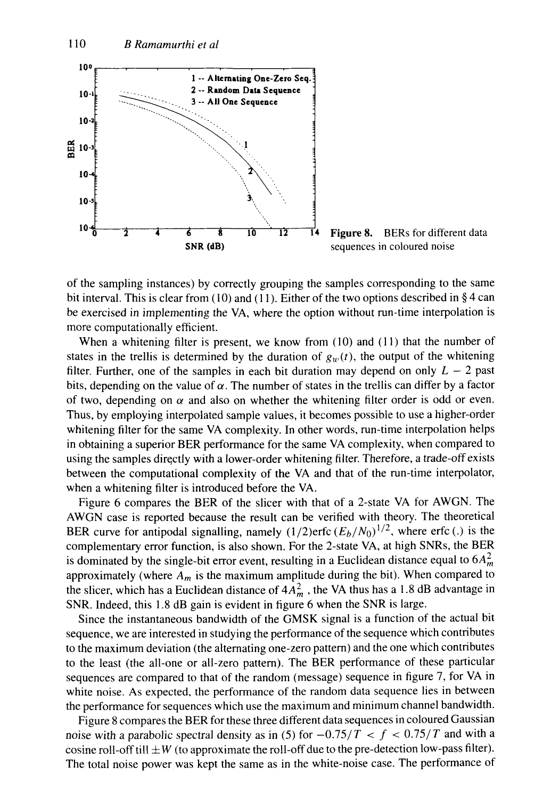

14 Figure 8. BERs for different data sequences in coloured noise

of the sampling instances) by correctly grouping the samples corresponding to the same bit interval. This is clear from (10) and (11). Either of the two options described in  $\S 4$  can be exercised in implementing the VA, where the option without run-time interpolation is more computationally efficient.

When a whitening filter is present, we know from (10) and (11) that the number of states in the trellis is determined by the duration of  $g_w(t)$ , the output of the whitening filter. Further, one of the samples in each bit duration may depend on only  $L - 2$  past bits, depending on the value of  $\alpha$ . The number of states in the trellis can differ by a factor of two, depending on  $\alpha$  and also on whether the whitening filter order is odd or even. Thus, by employing interpolated sample values, it becomes possible to use a higher-order whitening filter for the same VA complexity. In other words, run-time interpolation helps in obtaining a superior BER performance for the same VA complexity, when compared to using the samples directly with a lower-order whitening filter. Therefore, a trade-off exists between the computational complexity of the VA and that of the run-time interpolator, when a whitening filter is introduced before the VA.

Figure 6 compares the BER of the slicer with that of a 2-state VA for AWGN. The AWGN case is reported because the result can be verified with theory. The theoretical BER curve for antipodal signalling, namely  $(1/2)$ erfc  $(E_b/N_0)^{1/2}$ , where erfc (.) is the complementary error function, is also shown. For the 2-state VA, at high SNRs, the BER is dominated by the single-bit error event, resulting in a Euclidean distance equal to  $6A_m^2$ approximately (where  $A_m$  is the maximum amplitude during the bit). When compared to the slicer, which has a Euclidean distance of  $4A<sub>m</sub><sup>2</sup>$ , the VA thus has a 1.8 dB advantage in SNR. Indeed, this 1.8 dB gain is evident in figure 6 when the SNR is large.

Since the instantaneous bandwidth of the GMSK signal is a function of the actual bit sequence, we are interested in studying the performance of the sequence which contributes to the maximum deviation (the alternating one-zero pattern) and the one which contributes to the least (the all-one or all-zero pattern). The BER performance of these particular sequences are compared to that of the random (message) sequence in figure 7, for VA in white noise. As expected, the performance of the random data sequence lies in between the performance for sequences which use the maximum and minimum channel bandwidth.

Figure 8 compares the BER for these three different data sequences in coloured Gaussian noise with a parabolic spectral density as in (5) for  $-0.75/T < f < 0.75/T$  and with a cosine roll-off till  $\pm W$  (to approximate the roll-off due to the pre-detection low-pass filter). The total noise power was kept the same as in the white-noise case. The performance of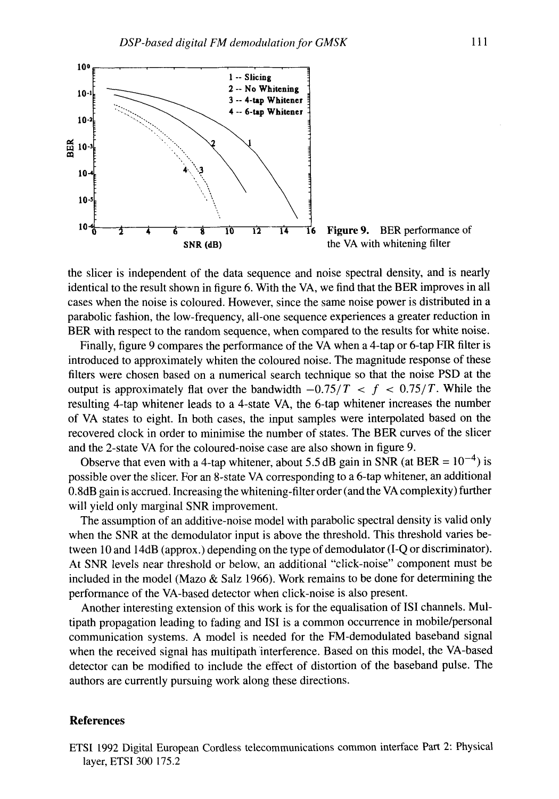

16 Figure 9. BER performance of the VA with whitening filter

the slicer is independent of the data sequence and noise spectral density, and is nearly identical to the result shown in figure 6. With the VA, we find that the BER improves in all cases when the noise is coloured. However, since the same noise power is distributed in a parabolic fashion, the low-frequency, all-one sequence experiences a greater reduction in BER with respect to the random sequence, when compared to the results for white noise.

Finally, figure 9 compares the performance of the VA when a 4-tap or 6-tap FIR filter is introduced to approximately whiten the coloured noise. The magnitude response of these filters were chosen based on a numerical search technique so that the noise PSD at the output is approximately flat over the bandwidth  $-0.75/T < f < 0.75/T$ . While the resulting 4-tap whitener leads to a 4-state VA, the 6-tap whitener increases the number of VA states to eight. In both cases, the input samples were interpolated based on the recovered clock in order to minimise the number of states. The BER curves of the slicer and the 2-state VA for the coloured-noise case are also shown in figure 9.

Observe that even with a 4-tap whitener, about 5.5 dB gain in SNR (at BER =  $10^{-4}$ ) is possible over the slicer. For an 8-state VA corresponding to a 6-tap whitener, an additional 0.8dB gain is accrued. Increasing the whitening-filter order (and the VA complexity) further will yield only marginal SNR improvement.

The assumption of an additive-noise model with parabolic spectral density is valid only when the SNR at the demodulator input is above the threshold. This threshold varies between 10 and 14dB (approx.) depending on the type of demodulator (I-Q or discriminator). At SNR levels near threshold or below, an additional "click-noise" component must be included in the model (Mazo  $&$  Salz 1966). Work remains to be done for determining the performance of the VA-based detector when click-noise is also present.

Another interesting extension of this work is for the equalisation of ISI channels. Multipath propagation leading to fading and ISI is a common occurrence in mobile/personal communication systems. A model is needed for the FM-demodulated baseband signal when the received signal has multipath interference. Based on this model, the VA-based detector can be modified to include the effect of distortion of the baseband pulse. The authors are currently pursuing work along these directions.

#### **References**

ETSI 1992 Digital European Cordless telecommunications common interface Part 2: Physical layer, ETSI 300 175.2